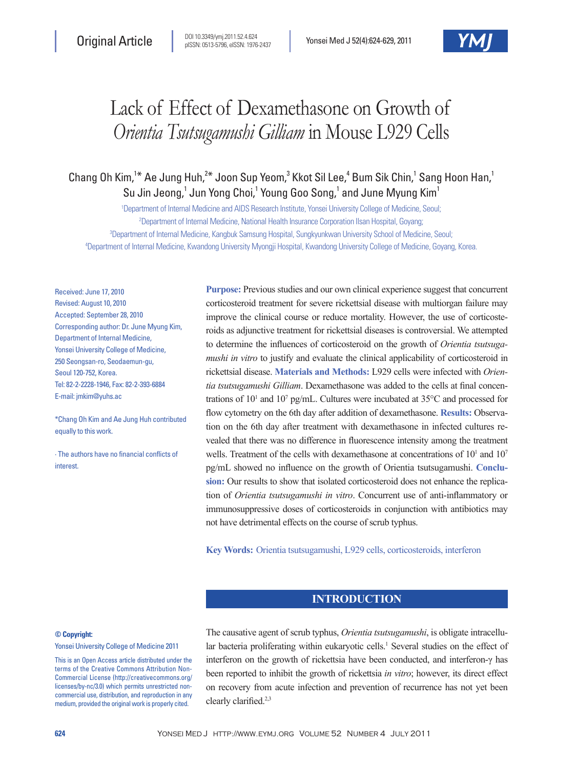# Lack of Effect of Dexamethasone on Growth of *Orientia Tsutsugamushi Gilliam* in Mouse L929 Cells

Chang Oh Kim,<sup>1\*</sup> Ae Jung Huh,<sup>2\*</sup> Joon Sup Yeom,<sup>3</sup> Kkot Sil Lee,<sup>4</sup> Bum Sik Chin,<sup>1</sup> Sang Hoon Han,<sup>1</sup> Su Jin Jeong,<sup>1</sup> Jun Yong Choi,<sup>1</sup> Young Goo Song,<sup>1</sup> and June Myung Kim<sup>1</sup>

 Department of Internal Medicine and AIDS Research Institute, Yonsei University College of Medicine, Seoul; Department of Internal Medicine, National Health Insurance Corporation Ilsan Hospital, Goyang; Department of Internal Medicine, Kangbuk Samsung Hospital, Sungkyunkwan University School of Medicine, Seoul; Department of Internal Medicine, Kwandong University Myongji Hospital, Kwandong University College of Medicine, Goyang, Korea.

Received: June 17, 2010 Revised: August 10, 2010 Accepted: September 28, 2010 Corresponding author: Dr. June Myung Kim, Department of Internal Medicine, Yonsei University College of Medicine, 250 Seongsan-ro, Seodaemun-gu, Seoul 120-752, Korea. Tel: 82-2-2228-1946, Fax: 82-2-393-6884 E-mail: jmkim@yuhs.ac

\*Chang Oh Kim and Ae Jung Huh contributed equally to this work.

∙ The authors have no financial conflicts of interest.

**Purpose:** Previous studies and our own clinical experience suggest that concurrent corticosteroid treatment for severe rickettsial disease with multiorgan failure may improve the clinical course or reduce mortality. However, the use of corticosteroids as adjunctive treatment for rickettsial diseases is controversial. We attempted to determine the influences of corticosteroid on the growth of *Orientia tsutsugamushi in vitro* to justify and evaluate the clinical applicability of corticosteroid in rickettsial disease. **Materials and Methods:** L929 cells were infected with *Orientia tsutsugamushi Gilliam*. Dexamethasone was added to the cells at final concentrations of  $10^1$  and  $10^7$  pg/mL. Cultures were incubated at  $35^{\circ}$ C and processed for flow cytometry on the 6th day after addition of dexamethasone. **Results:** Observation on the 6th day after treatment with dexamethasone in infected cultures revealed that there was no difference in fluorescence intensity among the treatment wells. Treatment of the cells with dexamethasone at concentrations of 10<sup>1</sup> and 10<sup>7</sup> pg/mL showed no influence on the growth of Orientia tsutsugamushi. **Conclusion:** Our results to show that isolated corticosteroid does not enhance the replication of *Orientia tsutsugamushi in vitro*. Concurrent use of anti-inflammatory or immunosuppressive doses of corticosteroids in conjunction with antibiotics may not have detrimental effects on the course of scrub typhus.

**Key Words:** Orientia tsutsugamushi, L929 cells, corticosteroids, interferon

# **INTRODUCTION**

#### **© Copyright:**

Yonsei University College of Medicine 2011

This is an Open Access article distributed under the terms of the Creative Commons Attribution Non-Commercial License (http://creativecommons.org/ licenses/by-nc/3.0) which permits unrestricted noncommercial use, distribution, and reproduction in any medium, provided the original work is properly cited.

The causative agent of scrub typhus, *Orientia tsutsugamushi*, is obligate intracellular bacteria proliferating within eukaryotic cells.<sup>1</sup> Several studies on the effect of interferon on the growth of rickettsia have been conducted, and interferon-γ has been reported to inhibit the growth of rickettsia *in vitro*; however, its direct effect on recovery from acute infection and prevention of recurrence has not yet been clearly clarified.2,3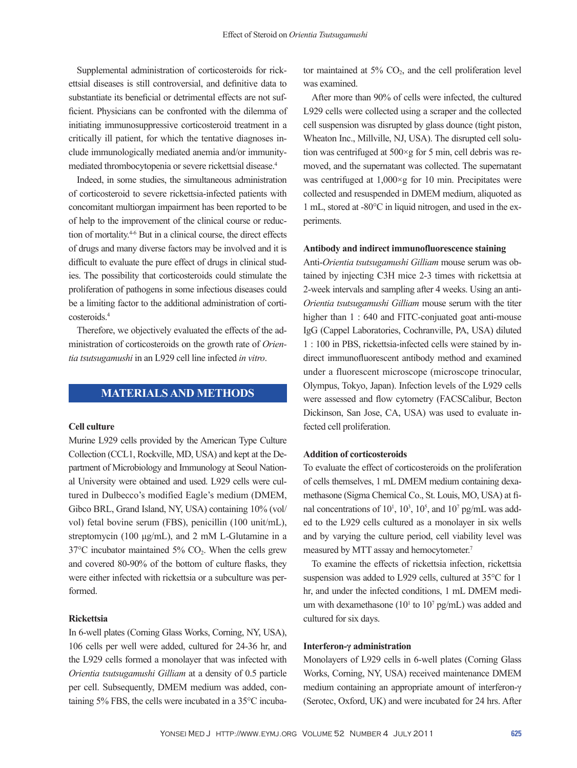Supplemental administration of corticosteroids for rickettsial diseases is still controversial, and definitive data to substantiate its beneficial or detrimental effects are not sufficient. Physicians can be confronted with the dilemma of initiating immunosuppressive corticosteroid treatment in a critically ill patient, for which the tentative diagnoses include immunologically mediated anemia and/or immunitymediated thrombocytopenia or severe rickettsial disease.4

Indeed, in some studies, the simultaneous administration of corticosteroid to severe rickettsia-infected patients with concomitant multiorgan impairment has been reported to be of help to the improvement of the clinical course or reduction of mortality.4-6 But in a clinical course, the direct effects of drugs and many diverse factors may be involved and it is difficult to evaluate the pure effect of drugs in clinical studies. The possibility that corticosteroids could stimulate the proliferation of pathogens in some infectious diseases could be a limiting factor to the additional administration of corticosteroids.4

Therefore, we objectively evaluated the effects of the administration of corticosteroids on the growth rate of *Orientia tsutsugamushi* in an L929 cell line infected *in vitro*.

# **MATERIALS AND METHODS**

#### **Cell culture**

Murine L929 cells provided by the American Type Culture Collection (CCL1, Rockville, MD, USA) and kept at the Department of Microbiology and Immunology at Seoul National University were obtained and used. L929 cells were cultured in Dulbecco's modified Eagle's medium (DMEM, Gibco BRL, Grand Island, NY, USA) containing 10% (vol/ vol) fetal bovine serum (FBS), penicillin (100 unit/mL), streptomycin (100 μg/mL), and 2 mM L-Glutamine in a  $37^{\circ}$ C incubator maintained  $5\%$  CO<sub>2</sub>. When the cells grew and covered 80-90% of the bottom of culture flasks, they were either infected with rickettsia or a subculture was performed.

#### **Rickettsia**

In 6-well plates (Corning Glass Works, Corning, NY, USA), 106 cells per well were added, cultured for 24-36 hr, and the L929 cells formed a monolayer that was infected with *Orientia tsutsugamushi Gilliam* at a density of 0.5 particle per cell. Subsequently, DMEM medium was added, containing 5% FBS, the cells were incubated in a 35°C incubator maintained at 5% CO<sub>2</sub>, and the cell proliferation level was examined.

After more than 90% of cells were infected, the cultured L929 cells were collected using a scraper and the collected cell suspension was disrupted by glass dounce (tight piston, Wheaton Inc., Millville, NJ, USA). The disrupted cell solution was centrifuged at 500×g for 5 min, cell debris was removed, and the supernatant was collected. The supernatant was centrifuged at  $1,000 \times g$  for 10 min. Precipitates were collected and resuspended in DMEM medium, aliquoted as 1 mL, stored at -80°C in liquid nitrogen, and used in the experiments.

#### **Antibody and indirect immunofluorescence staining**

Anti-*Orientia tsutsugamushi Gilliam* mouse serum was obtained by injecting C3H mice 2-3 times with rickettsia at 2-week intervals and sampling after 4 weeks. Using an anti-*Orientia tsutsugamushi Gilliam* mouse serum with the titer higher than 1 : 640 and FITC-conjuated goat anti-mouse IgG (Cappel Laboratories, Cochranville, PA, USA) diluted 1 : 100 in PBS, rickettsia-infected cells were stained by indirect immunofluorescent antibody method and examined under a fluorescent microscope (microscope trinocular, Olympus, Tokyo, Japan). Infection levels of the L929 cells were assessed and flow cytometry (FACSCalibur, Becton Dickinson, San Jose, CA, USA) was used to evaluate infected cell proliferation.

#### **Addition of corticosteroids**

To evaluate the effect of corticosteroids on the proliferation of cells themselves, 1 mL DMEM medium containing dexamethasone (Sigma Chemical Co., St. Louis, MO, USA) at final concentrations of  $10^1$ ,  $10^3$ ,  $10^5$ , and  $10^7$  pg/mL was added to the L929 cells cultured as a monolayer in six wells and by varying the culture period, cell viability level was measured by MTT assay and hemocytometer.<sup>7</sup>

To examine the effects of rickettsia infection, rickettsia suspension was added to L929 cells, cultured at 35°C for 1 hr, and under the infected conditions, 1 mL DMEM medium with dexamethasone ( $10<sup>1</sup>$  to  $10<sup>7</sup>$  pg/mL) was added and cultured for six days.

#### **Interferon-γ administration**

Monolayers of L929 cells in 6-well plates (Corning Glass Works, Corning, NY, USA) received maintenance DMEM medium containing an appropriate amount of interferon-γ (Serotec, Oxford, UK) and were incubated for 24 hrs. After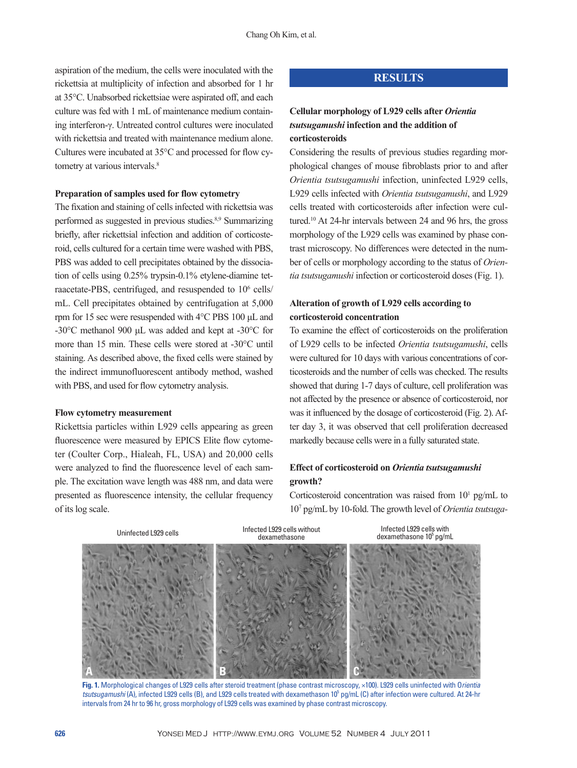aspiration of the medium, the cells were inoculated with the rickettsia at multiplicity of infection and absorbed for 1 hr at 35°C. Unabsorbed rickettsiae were aspirated off, and each culture was fed with 1 mL of maintenance medium containing interferon-γ. Untreated control cultures were inoculated with rickettsia and treated with maintenance medium alone. Cultures were incubated at 35°C and processed for flow cytometry at various intervals.<sup>8</sup>

#### **Preparation of samples used for flow cytometry**

The fixation and staining of cells infected with rickettsia was performed as suggested in previous studies.8,9 Summarizing briefly, after rickettsial infection and addition of corticosteroid, cells cultured for a certain time were washed with PBS, PBS was added to cell precipitates obtained by the dissociation of cells using 0.25% trypsin-0.1% etylene-diamine tetraacetate-PBS, centrifuged, and resuspended to 10<sup>6</sup> cells/ mL. Cell precipitates obtained by centrifugation at 5,000 rpm for 15 sec were resuspended with 4°C PBS 100 μL and -30°C methanol 900 μL was added and kept at -30°C for more than 15 min. These cells were stored at -30°C until staining. As described above, the fixed cells were stained by the indirect immunofluorescent antibody method, washed with PBS, and used for flow cytometry analysis.

### **Flow cytometry measurement**

Rickettsia particles within L929 cells appearing as green fluorescence were measured by EPICS Elite flow cytometer (Coulter Corp., Hialeah, FL, USA) and 20,000 cells were analyzed to find the fluorescence level of each sample. The excitation wave length was 488 nm, and data were presented as fluorescence intensity, the cellular frequency of its log scale.

# **RESULTS**

# **Cellular morphology of L929 cells after** *Orientia tsutsugamushi* **infection and the addition of corticosteroids**

Considering the results of previous studies regarding morphological changes of mouse fibroblasts prior to and after *Orientia tsutsugamushi* infection, uninfected L929 cells, L929 cells infected with *Orientia tsutsugamushi*, and L929 cells treated with corticosteroids after infection were cultured.10 At 24-hr intervals between 24 and 96 hrs, the gross morphology of the L929 cells was examined by phase contrast microscopy. No differences were detected in the number of cells or morphology according to the status of *Orientia tsutsugamushi* infection or corticosteroid doses (Fig. 1).

# **Alteration of growth of L929 cells according to corticosteroid concentration**

To examine the effect of corticosteroids on the proliferation of L929 cells to be infected *Orientia tsutsugamushi*, cells were cultured for 10 days with various concentrations of corticosteroids and the number of cells was checked. The results showed that during 1-7 days of culture, cell proliferation was not affected by the presence or absence of corticosteroid, nor was it influenced by the dosage of corticosteroid (Fig. 2). After day 3, it was observed that cell proliferation decreased markedly because cells were in a fully saturated state.

# **Effect of corticosteroid on** *Orientia tsutsugamushi* **growth?**

Corticosteroid concentration was raised from  $10^1$  pg/mL to 107 pg/mL by 10-fold. The growth level of *Orientia tsutsuga-*



**Fig. 1.** Morphological changes of L929 cells after steroid treatment (phase contrast microscopy, ×100). L929 cells uninfected with O*rientia*  tsutsugamushi (A), infected L929 cells (B), and L929 cells treated with dexamethason 10<sup>5</sup> pg/mL (C) after infection were cultured. At 24-hr intervals from 24 hr to 96 hr, gross morphology of L929 cells was examined by phase contrast microscopy.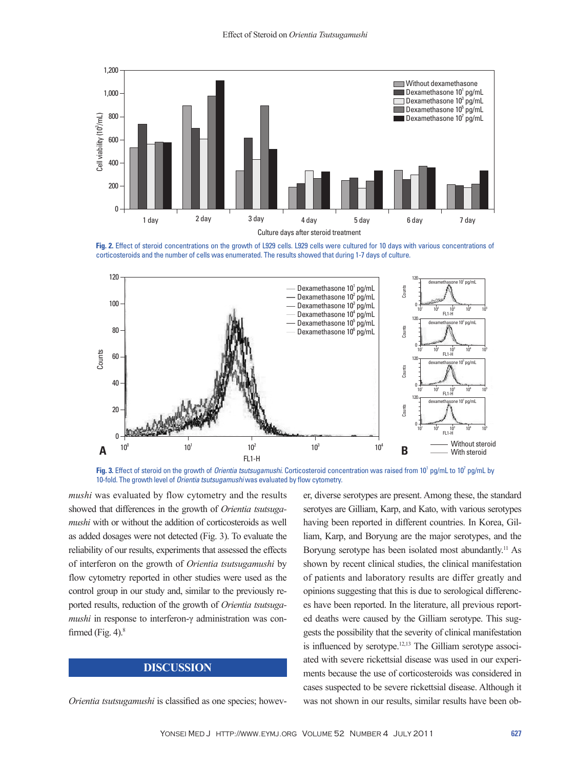

**Fig. 2.** Effect of steroid concentrations on the growth of L929 cells. L929 cells were cultured for 10 days with various concentrations of corticosteroids and the number of cells was enumerated. The results showed that during 1-7 days of culture.



Fig. 3. Effect of steroid on the growth of *Orientia tsutsugamushi*. Corticosteroid concentration was raised from 10<sup>1</sup> pg/mL to 10<sup>7</sup> pg/mL by 10-fold. The growth level of *Orientia tsutsugamushi* was evaluated by flow cytometry.

*mushi* was evaluated by flow cytometry and the results showed that differences in the growth of *Orientia tsutsugamushi* with or without the addition of corticosteroids as well as added dosages were not detected (Fig. 3). To evaluate the reliability of our results, experiments that assessed the effects of interferon on the growth of *Orientia tsutsugamushi* by flow cytometry reported in other studies were used as the control group in our study and, similar to the previously reported results, reduction of the growth of *Orientia tsutsugamushi* in response to interferon-γ administration was confirmed (Fig. 4). $8$ 

# **DISCUSSION**

*Orientia tsutsugamushi* is classified as one species; howev-

er, diverse serotypes are present. Among these, the standard serotyes are Gilliam, Karp, and Kato, with various serotypes having been reported in different countries. In Korea, Gilliam, Karp, and Boryung are the major serotypes, and the Boryung serotype has been isolated most abundantly.<sup>11</sup> As shown by recent clinical studies, the clinical manifestation of patients and laboratory results are differ greatly and opinions suggesting that this is due to serological differences have been reported. In the literature, all previous reported deaths were caused by the Gilliam serotype. This suggests the possibility that the severity of clinical manifestation is influenced by serotype.12,13 The Gilliam serotype associated with severe rickettsial disease was used in our experiments because the use of corticosteroids was considered in cases suspected to be severe rickettsial disease. Although it was not shown in our results, similar results have been ob-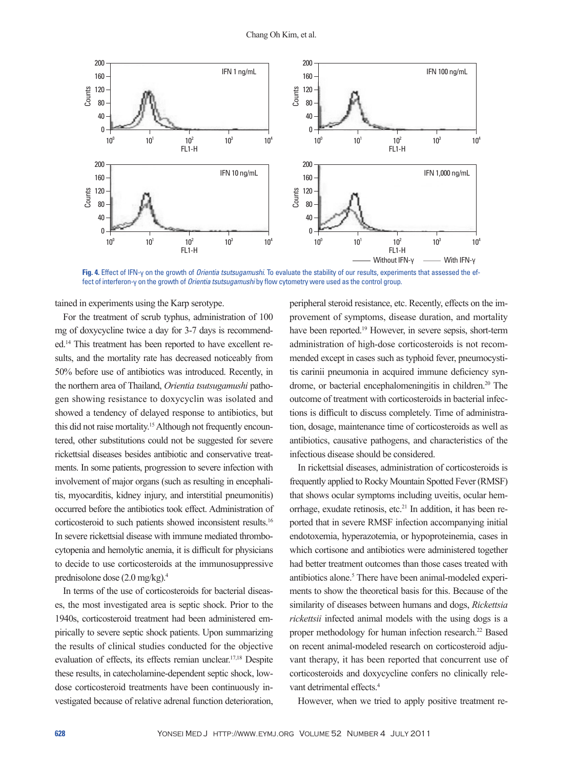

**Fig. 4.** Effect of IFN-γ on the growth of *Orientia tsutsugamushi*. To evaluate the stability of our results, experiments that assessed the effect of interferon-γ on the growth of *Orientia tsutsugamushi* by flow cytometry were used as the control group.

tained in experiments using the Karp serotype.

For the treatment of scrub typhus, administration of 100 mg of doxycycline twice a day for 3-7 days is recommended.14 This treatment has been reported to have excellent results, and the mortality rate has decreased noticeably from 50% before use of antibiotics was introduced. Recently, in the northern area of Thailand, *Orientia tsutsugamushi* pathogen showing resistance to doxycyclin was isolated and showed a tendency of delayed response to antibiotics, but this did not raise mortality.<sup>15</sup> Although not frequently encountered, other substitutions could not be suggested for severe rickettsial diseases besides antibiotic and conservative treatments. In some patients, progression to severe infection with involvement of major organs (such as resulting in encephalitis, myocarditis, kidney injury, and interstitial pneumonitis) occurred before the antibiotics took effect. Administration of corticosteroid to such patients showed inconsistent results.16 In severe rickettsial disease with immune mediated thrombocytopenia and hemolytic anemia, it is difficult for physicians to decide to use corticosteroids at the immunosuppressive prednisolone dose (2.0 mg/kg).4

In terms of the use of corticosteroids for bacterial diseases, the most investigated area is septic shock. Prior to the 1940s, corticosteroid treatment had been administered empirically to severe septic shock patients. Upon summarizing the results of clinical studies conducted for the objective evaluation of effects, its effects remian unclear.17,18 Despite these results, in catecholamine-dependent septic shock, lowdose corticosteroid treatments have been continuously investigated because of relative adrenal function deterioration,

peripheral steroid resistance, etc. Recently, effects on the improvement of symptoms, disease duration, and mortality have been reported.19 However, in severe sepsis, short-term administration of high-dose corticosteroids is not recommended except in cases such as typhoid fever, pneumocystitis carinii pneumonia in acquired immune deficiency syndrome, or bacterial encephalomeningitis in children.<sup>20</sup> The outcome of treatment with corticosteroids in bacterial infections is difficult to discuss completely. Time of administration, dosage, maintenance time of corticosteroids as well as antibiotics, causative pathogens, and characteristics of the infectious disease should be considered.

In rickettsial diseases, administration of corticosteroids is frequently applied to Rocky Mountain Spotted Fever (RMSF) that shows ocular symptoms including uveitis, ocular hemorrhage, exudate retinosis, etc.21 In addition, it has been reported that in severe RMSF infection accompanying initial endotoxemia, hyperazotemia, or hypoproteinemia, cases in which cortisone and antibiotics were administered together had better treatment outcomes than those cases treated with antibiotics alone.<sup>5</sup> There have been animal-modeled experiments to show the theoretical basis for this. Because of the similarity of diseases between humans and dogs, *Rickettsia rickettsii* infected animal models with the using dogs is a proper methodology for human infection research.22 Based on recent animal-modeled research on corticosteroid adjuvant therapy, it has been reported that concurrent use of corticosteroids and doxycycline confers no clinically relevant detrimental effects.<sup>4</sup>

However, when we tried to apply positive treatment re-